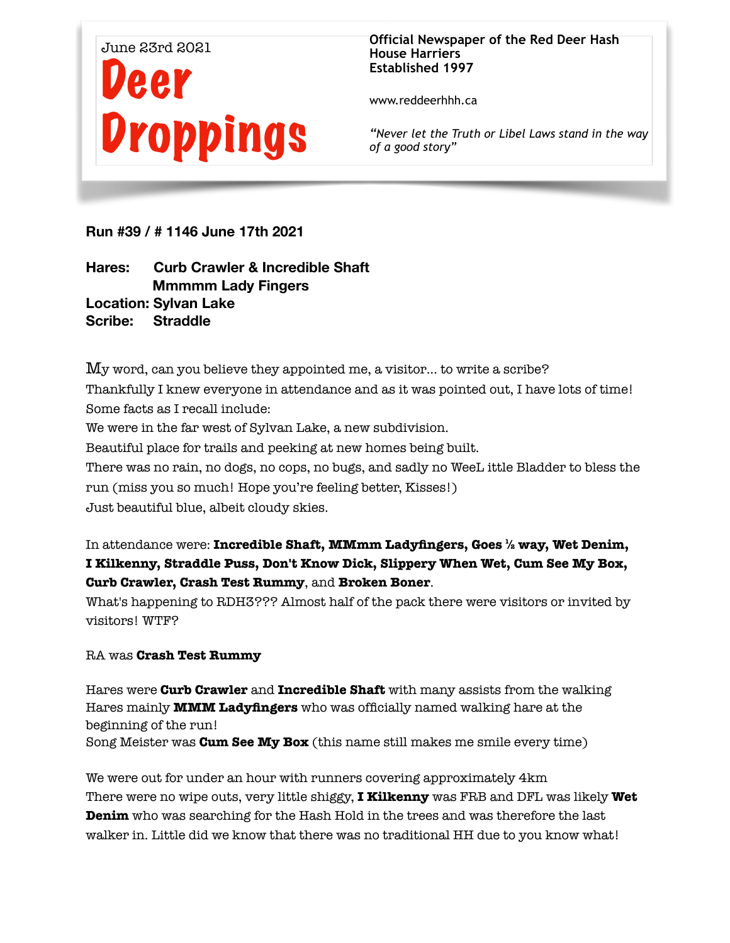

**Official Newspaper of the Red Deer Hash House Harriers Established 1997** 

www.reddeerhhh.ca

*"Never let the Truth or Libel Laws stand in the way of a good story"*

**Run #39 / # 1146 June 17th 2021** 

**Hares: Curb Crawler & Incredible Shaft Mmmmm Lady Fingers Location: Sylvan Lake Scribe: Straddle** 

My word, can you believe they appointed me, a visitor… to write a scribe? Thankfully I knew everyone in attendance and as it was pointed out, I have lots of time! Some facts as I recall include: We were in the far west of Sylvan Lake, a new subdivision. Beautiful place for trails and peeking at new homes being built. There was no rain, no dogs, no cops, no bugs, and sadly no WeeL ittle Bladder to bless the run (miss you so much! Hope you're feeling better, Kisses!) Just beautiful blue, albeit cloudy skies.

In attendance were: **Incredible Shaft, MMmm Ladyfingers, Goes ½ way, Wet Denim, I Kilkenny, Straddle Puss, Don't Know Dick, Slippery When Wet, Cum See My Box, Curb Crawler, Crash Test Rummy**, and **Broken Boner**.

What's happening to RDH3??? Almost half of the pack there were visitors or invited by visitors! WTF?

## RA was **Crash Test Rummy**

Hares were **Curb Crawler** and **Incredible Shaft** with many assists from the walking Hares mainly **MMM Ladyfingers** who was officially named walking hare at the beginning of the run!

Song Meister was **Cum See My Box** (this name still makes me smile every time)

We were out for under an hour with runners covering approximately 4km There were no wipe outs, very little shiggy, **I Kilkenny** was FRB and DFL was likely **Wet Denim** who was searching for the Hash Hold in the trees and was therefore the last walker in. Little did we know that there was no traditional HH due to you know what!